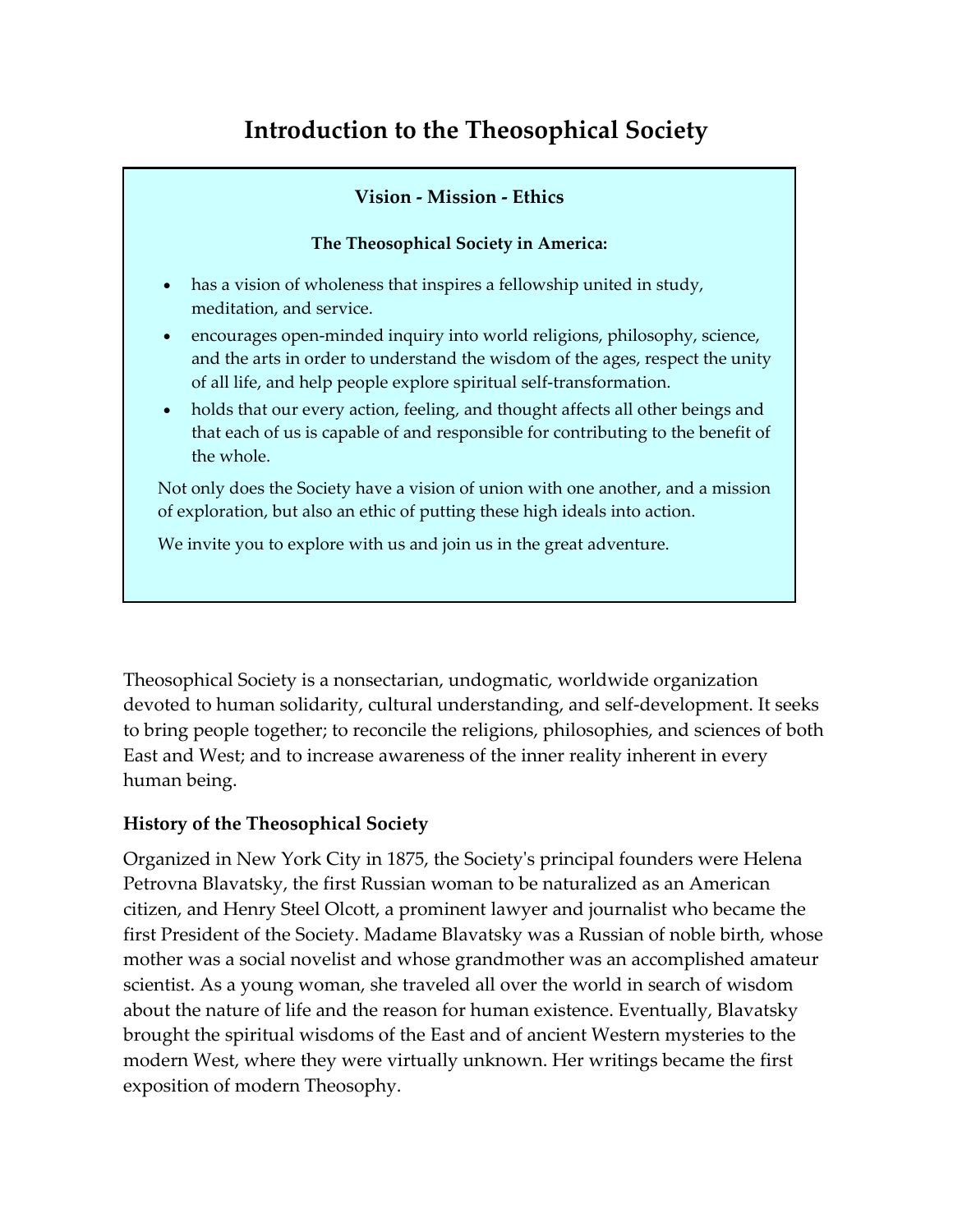# **Introduction to the Theosophical Society**

### **Vision - Mission - Ethics**

#### **The Theosophical Society in America:**

- has a vision of wholeness that inspires a fellowship united in study, meditation, and service.
- encourages open-minded inquiry into world religions, philosophy, science, and the arts in order to understand the wisdom of the ages, respect the unity of all life, and help people explore spiritual self-transformation.
- holds that our every action, feeling, and thought affects all other beings and that each of us is capable of and responsible for contributing to the benefit of the whole.

Not only does the Society have a vision of union with one another, and a mission of exploration, but also an ethic of putting these high ideals into action.

We invite you to explore with us and join us in the great adventure.

Theosophical Society is a nonsectarian, undogmatic, worldwide organization devoted to human solidarity, cultural understanding, and self-development. It seeks to bring people together; to reconcile the religions, philosophies, and sciences of both East and West; and to increase awareness of the inner reality inherent in every human being.

#### **History of the Theosophical Society**

Organized in New York City in 1875, the Societyʹs principal founders were Helena Petrovna Blavatsky, the first Russian woman to be naturalized as an American citizen, and Henry Steel Olcott, a prominent lawyer and journalist who became the first President of the Society. Madame Blavatsky was a Russian of noble birth, whose mother was a social novelist and whose grandmother was an accomplished amateur scientist. As a young woman, she traveled all over the world in search of wisdom about the nature of life and the reason for human existence. Eventually, Blavatsky brought the spiritual wisdoms of the East and of ancient Western mysteries to the modern West, where they were virtually unknown. Her writings became the first exposition of modern Theosophy.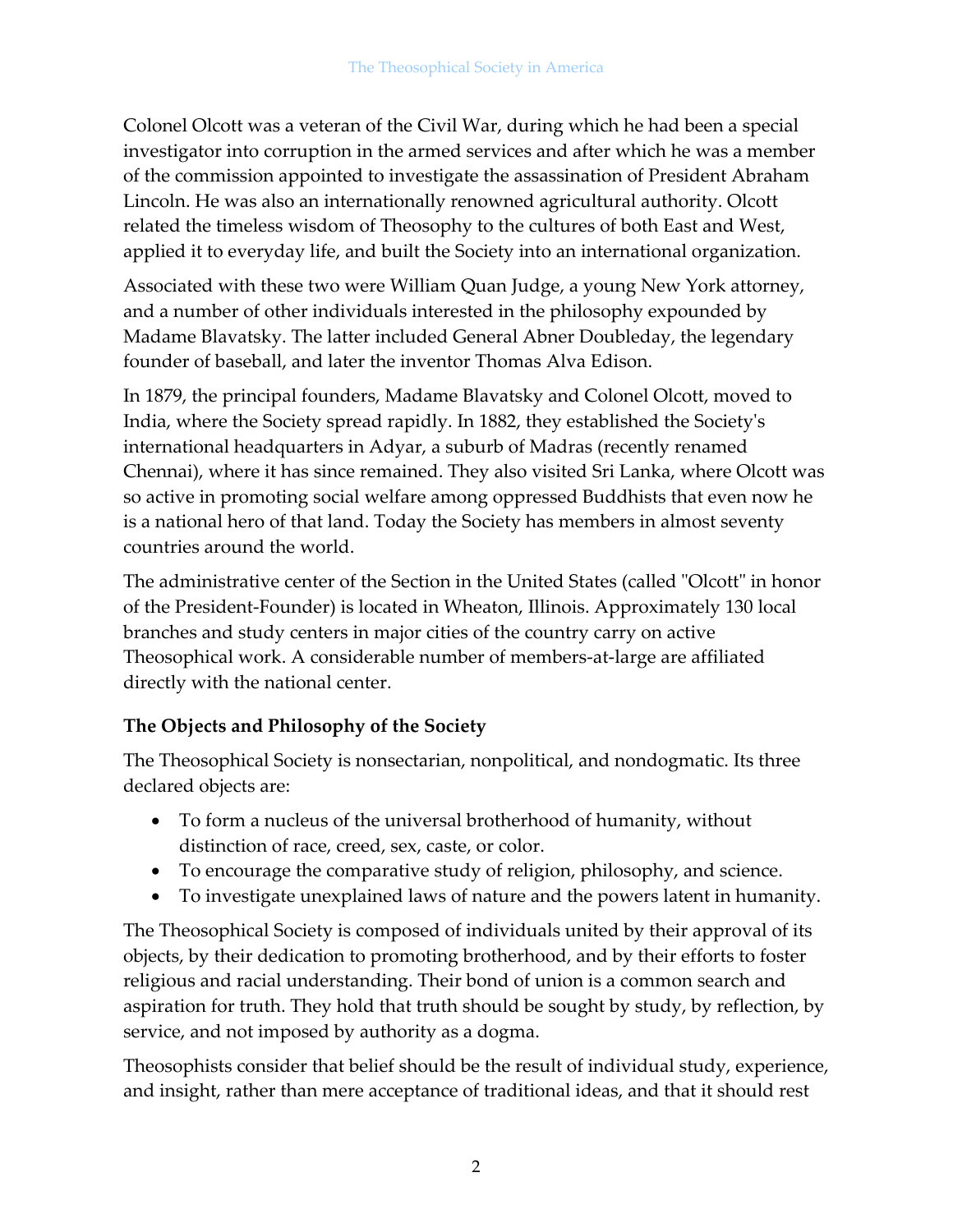Colonel Olcott was a veteran of the Civil War, during which he had been a special investigator into corruption in the armed services and after which he was a member of the commission appointed to investigate the assassination of President Abraham Lincoln. He was also an internationally renowned agricultural authority. Olcott related the timeless wisdom of Theosophy to the cultures of both East and West, applied it to everyday life, and built the Society into an international organization.

Associated with these two were William Quan Judge, a young New York attorney, and a number of other individuals interested in the philosophy expounded by Madame Blavatsky. The latter included General Abner Doubleday, the legendary founder of baseball, and later the inventor Thomas Alva Edison.

In 1879, the principal founders, Madame Blavatsky and Colonel Olcott, moved to India, where the Society spread rapidly. In 1882, they established the Societyʹs international headquarters in Adyar, a suburb of Madras (recently renamed Chennai), where it has since remained. They also visited Sri Lanka, where Olcott was so active in promoting social welfare among oppressed Buddhists that even now he is a national hero of that land. Today the Society has members in almost seventy countries around the world.

The administrative center of the Section in the United States (called "Olcott" in honor of the President-Founder) is located in Wheaton, Illinois. Approximately 130 local branches and study centers in major cities of the country carry on active Theosophical work. A considerable number of members-at-large are affiliated directly with the national center.

## **The Objects and Philosophy of the Society**

The Theosophical Society is nonsectarian, nonpolitical, and nondogmatic. Its three declared objects are:

- To form a nucleus of the universal brotherhood of humanity, without distinction of race, creed, sex, caste, or color.
- To encourage the comparative study of religion, philosophy, and science.
- To investigate unexplained laws of nature and the powers latent in humanity.

The Theosophical Society is composed of individuals united by their approval of its objects, by their dedication to promoting brotherhood, and by their efforts to foster religious and racial understanding. Their bond of union is a common search and aspiration for truth. They hold that truth should be sought by study, by reflection, by service, and not imposed by authority as a dogma.

Theosophists consider that belief should be the result of individual study, experience, and insight, rather than mere acceptance of traditional ideas, and that it should rest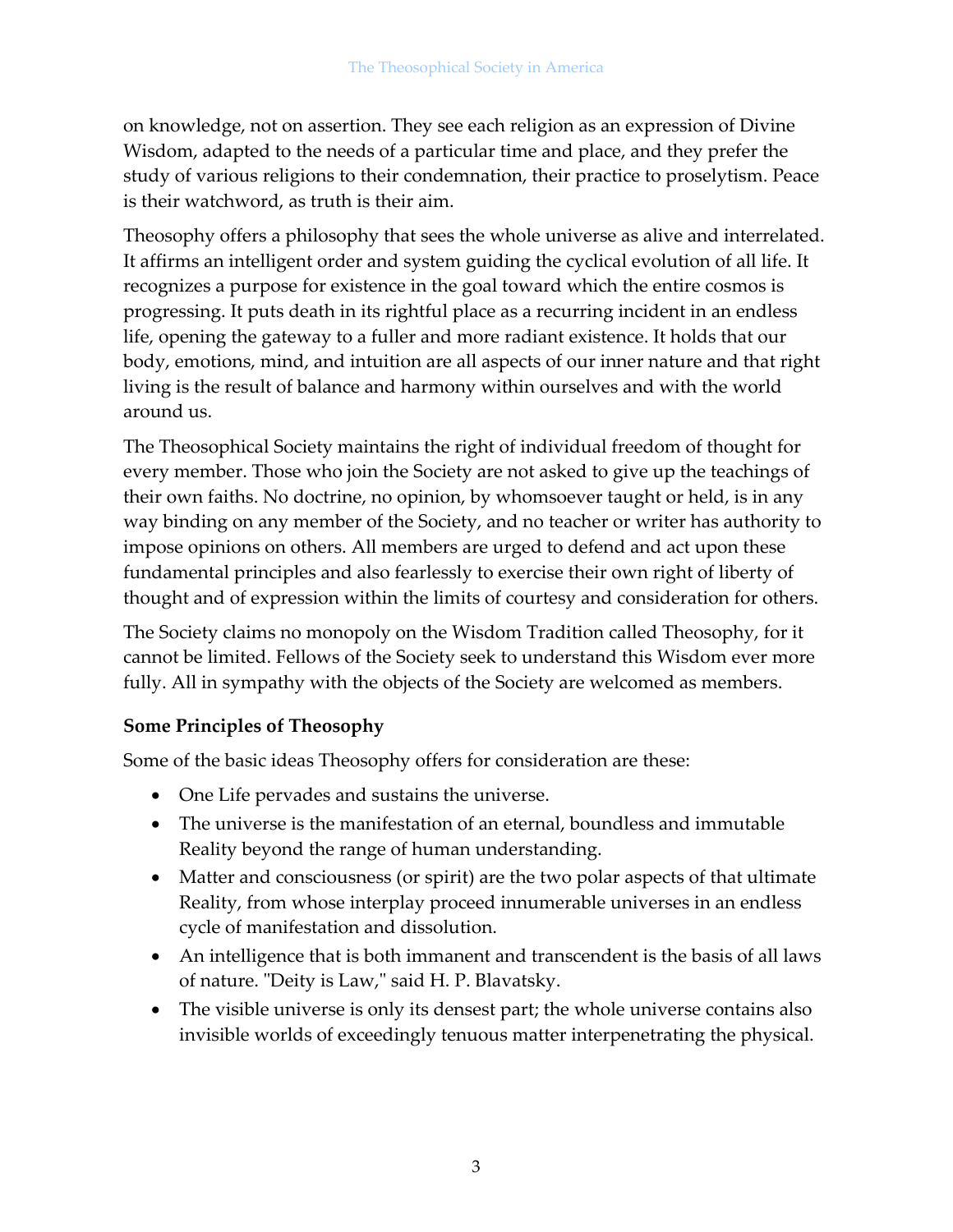on knowledge, not on assertion. They see each religion as an expression of Divine Wisdom, adapted to the needs of a particular time and place, and they prefer the study of various religions to their condemnation, their practice to proselytism. Peace is their watchword, as truth is their aim.

Theosophy offers a philosophy that sees the whole universe as alive and interrelated. It affirms an intelligent order and system guiding the cyclical evolution of all life. It recognizes a purpose for existence in the goal toward which the entire cosmos is progressing. It puts death in its rightful place as a recurring incident in an endless life, opening the gateway to a fuller and more radiant existence. It holds that our body, emotions, mind, and intuition are all aspects of our inner nature and that right living is the result of balance and harmony within ourselves and with the world around us.

The Theosophical Society maintains the right of individual freedom of thought for every member. Those who join the Society are not asked to give up the teachings of their own faiths. No doctrine, no opinion, by whomsoever taught or held, is in any way binding on any member of the Society, and no teacher or writer has authority to impose opinions on others. All members are urged to defend and act upon these fundamental principles and also fearlessly to exercise their own right of liberty of thought and of expression within the limits of courtesy and consideration for others.

The Society claims no monopoly on the Wisdom Tradition called Theosophy, for it cannot be limited. Fellows of the Society seek to understand this Wisdom ever more fully. All in sympathy with the objects of the Society are welcomed as members.

#### **Some Principles of Theosophy**

Some of the basic ideas Theosophy offers for consideration are these:

- One Life pervades and sustains the universe.
- The universe is the manifestation of an eternal, boundless and immutable Reality beyond the range of human understanding.
- Matter and consciousness (or spirit) are the two polar aspects of that ultimate Reality, from whose interplay proceed innumerable universes in an endless cycle of manifestation and dissolution.
- An intelligence that is both immanent and transcendent is the basis of all laws of nature. "Deity is Law," said H. P. Blavatsky.
- The visible universe is only its densest part; the whole universe contains also invisible worlds of exceedingly tenuous matter interpenetrating the physical.